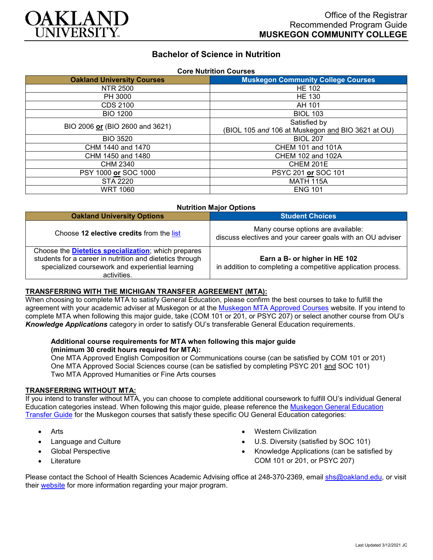

# **Bachelor of Science in Nutrition**

| <b>Core Nutrition Courses</b>     |                                                   |
|-----------------------------------|---------------------------------------------------|
| <b>Oakland University Courses</b> | <b>Muskegon Community College Courses</b>         |
| NTR 2500                          | <b>HE 102</b>                                     |
| PH 3000                           | <b>HE 130</b>                                     |
| CDS 2100                          | AH 101                                            |
| <b>BIO 1200</b>                   | <b>BIOL 103</b>                                   |
| BIO 2006 or (BIO 2600 and 3621)   | Satisfied by                                      |
|                                   | (BIOL 105 and 106 at Muskegon and BIO 3621 at OU) |
| <b>BIO 3520</b>                   | <b>BIOL 207</b>                                   |
| CHM 1440 and 1470                 | <b>CHEM 101 and 101A</b>                          |
| CHM 1450 and 1480                 | CHEM 102 and 102A                                 |
| CHM 2340                          | CHEM 201E                                         |
| PSY 1000 or SOC 1000              | PSYC 201 or SOC 101                               |
| <b>STA 2220</b>                   | <b>MATH 115A</b>                                  |
| <b>WRT 1060</b>                   | <b>ENG 101</b>                                    |

#### **Nutrition Major Options**

| <b>Oakland University Options</b>                                                                                                                                                          | <b>Student Choices</b>                                                                           |
|--------------------------------------------------------------------------------------------------------------------------------------------------------------------------------------------|--------------------------------------------------------------------------------------------------|
| Choose 12 elective credits from the list                                                                                                                                                   | Many course options are available:<br>discuss electives and your career goals with an OU adviser |
| Choose the <b>Dietetics specialization</b> ; which prepares<br>students for a career in nutrition and dietetics through<br>specialized coursework and experiential learning<br>activities. | Earn a B- or higher in HE 102<br>in addition to completing a competitive application process.    |

## **TRANSFERRING WITH THE MICHIGAN TRANSFER AGREEMENT (MTA):**

When choosing to complete MTA to satisfy General Education, please confirm the best courses to take to fulfill the agreement with your academic adviser at Muskegon or at the [Muskegon MTA Approved Courses](https://www.muskegoncc.edu/transferservices/michigan-transfer-agreement/) website. If vou intend to complete MTA when following this major guide, take (COM 101 or 201, or PSYC 207) or select another course from OU's *Knowledge Applications* category in order to satisfy OU's transferable General Education requirements.

### **Additional course requirements for MTA when following this major guide (minimum 30 credit hours required for MTA):**

One MTA Approved English Composition or Communications course (can be satisfied by COM 101 or 201) One MTA Approved Social Sciences course (can be satisfied by completing PSYC 201 and SOC 101) Two MTA Approved Humanities or Fine Arts courses

#### **TRANSFERRING WITHOUT MTA:**

If you intend to transfer without MTA, you can choose to complete additional coursework to fulfill OU's individual General Education categories instead. When following this major guide, please reference the [Muskegon General Education](https://www.oakland.edu/Assets/Oakland/program-guides/muskegon-community-college/university-general-education-requirements/Muskegon%20Gen%20Ed.pdf)  [Transfer Guide](https://www.oakland.edu/Assets/Oakland/program-guides/muskegon-community-college/university-general-education-requirements/Muskegon%20Gen%20Ed.pdf) for the Muskegon courses that satisfy these specific OU General Education categories:

- Arts
- Language and Culture
- Global Perspective
- Literature
- Western Civilization
- U.S. Diversity (satisfied by SOC 101)
- Knowledge Applications (can be satisfied by COM 101 or 201, or PSYC 207)

Please contact the School of Health Sciences Academic Advising office at 248-370-2369, email [shs@oakland.edu,](mailto:shs@oakland.edu) or visit their [website](http://www.oakland.edu/shs/advising) for more information regarding your major program.